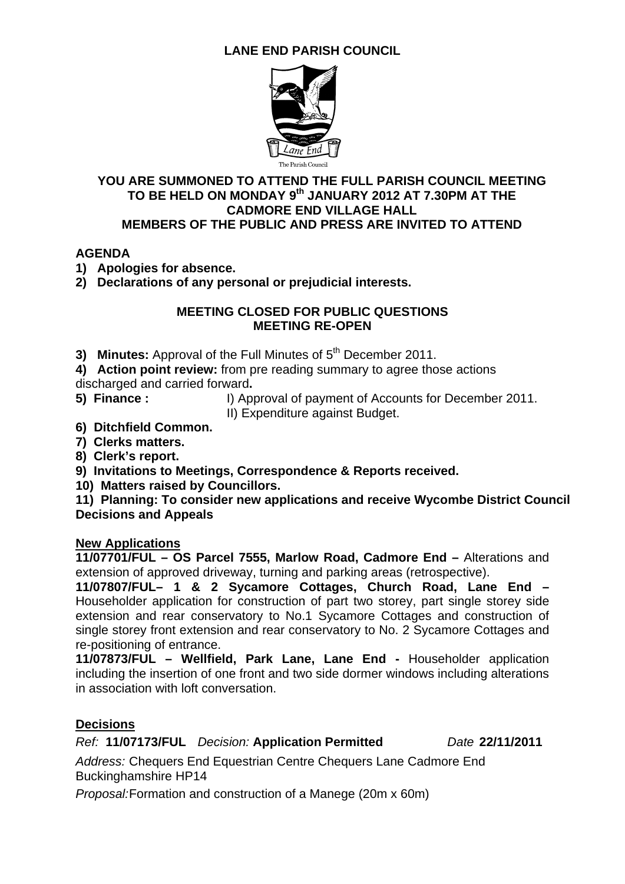# **LANE END PARISH COUNCIL**



#### **YOU ARE SUMMONED TO ATTEND THE FULL PARISH COUNCIL MEETING TO BE HELD ON MONDAY 9th JANUARY 2012 AT 7.30PM AT THE CADMORE END VILLAGE HALL MEMBERS OF THE PUBLIC AND PRESS ARE INVITED TO ATTEND**

### **AGENDA**

**1) Apologies for absence.** 

**2) Declarations of any personal or prejudicial interests.** 

#### **MEETING CLOSED FOR PUBLIC QUESTIONS MEETING RE-OPEN**

- **3) Minutes:** Approval of the Full Minutes of 5<sup>th</sup> December 2011.
- **4) Action point review:** from pre reading summary to agree those actions
- discharged and carried forward**.**
- 
- **5) Finance :** I) Approval of payment of Accounts for December 2011.
	- II) Expenditure against Budget.
- **6) Ditchfield Common.**
- **7) Clerks matters.**
- **8) Clerk's report.**
- **9) Invitations to Meetings, Correspondence & Reports received.**
- **10) Matters raised by Councillors.**

**11) Planning: To consider new applications and receive Wycombe District Council Decisions and Appeals** 

### **New Applications**

**11/07701/FUL – OS Parcel 7555, Marlow Road, Cadmore End –** Alterations and extension of approved driveway, turning and parking areas (retrospective).

**11/07807/FUL– 1 & 2 Sycamore Cottages, Church Road, Lane End –**  Householder application for construction of part two storey, part single storey side extension and rear conservatory to No.1 Sycamore Cottages and construction of single storey front extension and rear conservatory to No. 2 Sycamore Cottages and re-positioning of entrance.

**11/07873/FUL – Wellfield, Park Lane, Lane End -** Householder application including the insertion of one front and two side dormer windows including alterations in association with loft conversation.

### **Decisions**

*Ref:* **11/07173/FUL** *Decision:* **Application Permitted** *Date* **22/11/2011** 

*Address:* Chequers End Equestrian Centre Chequers Lane Cadmore End Buckinghamshire HP14

*Proposal:*Formation and construction of a Manege (20m x 60m)